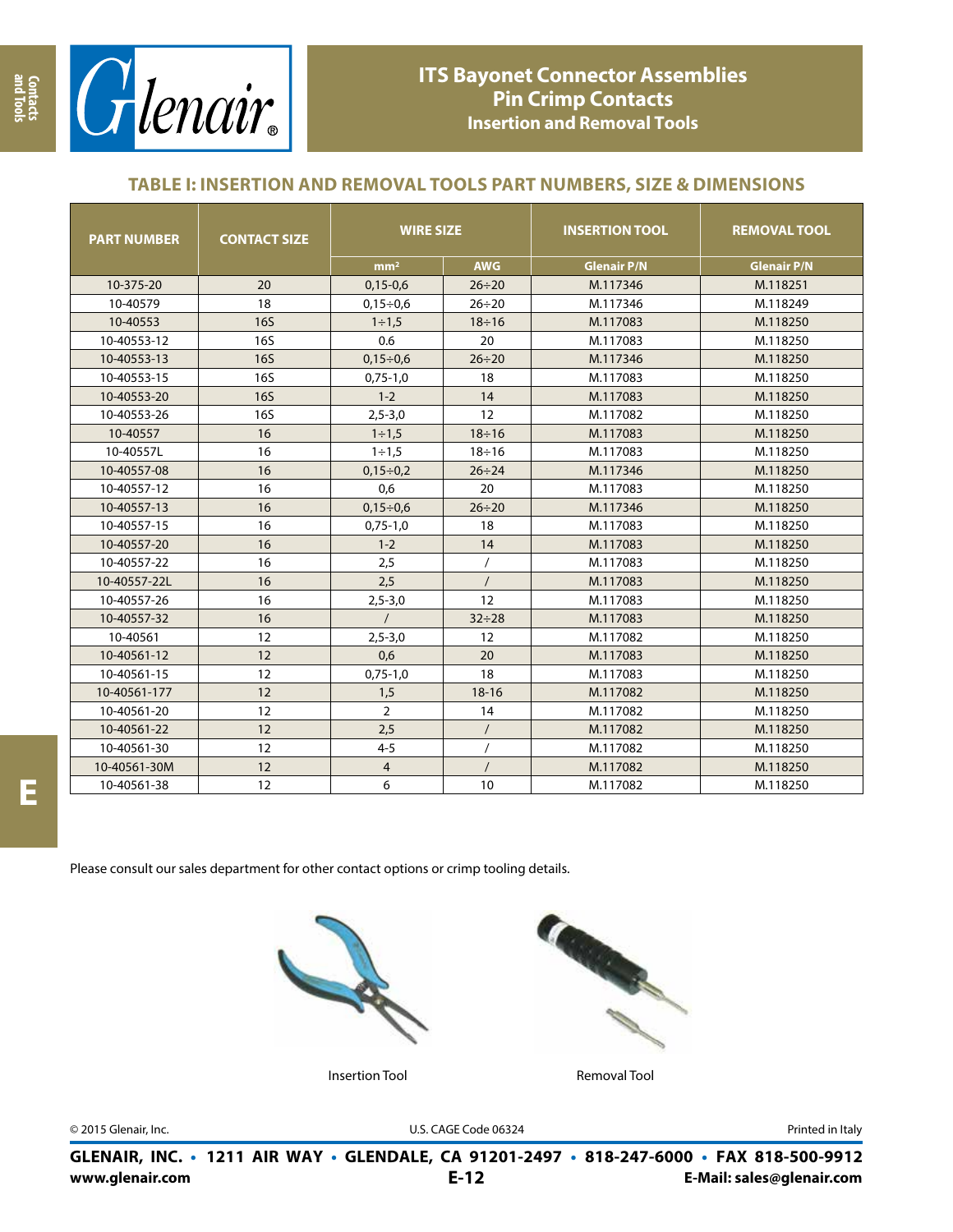

# **ITS Bayonet Connector Assemblies Pin Crimp Contacts Insertion and Removal Tools**

### **TABLE I: INSERTION AND REMOVAL TOOLS PART NUMBERS, SIZE & DIMENSIONS**

| <b>PART NUMBER</b> | <b>CONTACT SIZE</b> | <b>WIRE SIZE</b> |              | <b>INSERTION TOOL</b> | <b>REMOVAL TOOL</b> |
|--------------------|---------------------|------------------|--------------|-----------------------|---------------------|
|                    |                     | mm <sup>2</sup>  | <b>AWG</b>   | <b>Glenair P/N</b>    | <b>Glenair P/N</b>  |
| 10-375-20          | 20                  | $0,15-0,6$       | $26 \div 20$ | M.117346              | M.118251            |
| 10-40579           | 18                  | $0,15 \div 0,6$  | $26 \div 20$ | M.117346              | M.118249            |
| 10-40553           | <b>16S</b>          | $1 \div 1.5$     | $18 \div 16$ | M.117083              | M.118250            |
| 10-40553-12        | <b>16S</b>          | 0.6              | 20           | M.117083              | M.118250            |
| 10-40553-13        | <b>16S</b>          | $0,15 \div 0,6$  | $26 \div 20$ | M.117346              | M.118250            |
| 10-40553-15        | <b>16S</b>          | $0,75-1,0$       | 18           | M.117083              | M.118250            |
| 10-40553-20        | <b>16S</b>          | $1 - 2$          | 14           | M.117083              | M.118250            |
| 10-40553-26        | <b>16S</b>          | $2,5 - 3,0$      | 12           | M.117082              | M.118250            |
| 10-40557           | 16                  | $1 \div 1.5$     | $18 \div 16$ | M.117083              | M.118250            |
| 10-40557L          | 16                  | $1 \div 1.5$     | $18 \div 16$ | M.117083              | M.118250            |
| 10-40557-08        | 16                  | $0,15 \div 0,2$  | $26 \div 24$ | M.117346              | M.118250            |
| 10-40557-12        | 16                  | 0,6              | 20           | M.117083              | M.118250            |
| 10-40557-13        | 16                  | $0,15 \div 0.6$  | $26 \div 20$ | M.117346              | M.118250            |
| 10-40557-15        | 16                  | $0,75-1,0$       | 18           | M.117083              | M.118250            |
| 10-40557-20        | 16                  | $1 - 2$          | 14           | M.117083              | M.118250            |
| 10-40557-22        | 16                  | 2,5              |              | M.117083              | M.118250            |
| 10-40557-22L       | 16                  | 2,5              |              | M.117083              | M.118250            |
| 10-40557-26        | 16                  | $2,5 - 3,0$      | 12           | M.117083              | M.118250            |
| 10-40557-32        | 16                  | $\prime$         | $32 \div 28$ | M.117083              | M.118250            |
| 10-40561           | 12                  | $2,5 - 3,0$      | 12           | M.117082              | M.118250            |
| 10-40561-12        | 12                  | 0,6              | 20           | M.117083              | M.118250            |
| 10-40561-15        | 12                  | $0,75-1,0$       | 18           | M.117083              | M.118250            |
| 10-40561-177       | 12                  | 1,5              | $18 - 16$    | M.117082              | M.118250            |
| 10-40561-20        | 12                  | $\overline{2}$   | 14           | M.117082              | M.118250            |
| 10-40561-22        | 12                  | 2,5              | $\prime$     | M.117082              | M.118250            |
| 10-40561-30        | 12                  | $4 - 5$          |              | M.117082              | M.118250            |
| 10-40561-30M       | 12                  | $\overline{4}$   |              | M.117082              | M.118250            |
| 10-40561-38        | 12                  | 6                | 10           | M.117082              | M.118250            |

Please consult our sales department for other contact options or crimp tooling details.





Insertion Tool **Removal Tool** 

© 2015 Glenair, Inc. U.S. CAGE Code 06324 Printed in Italy

**www.glenair.com E-Mail: sales@glenair.com GLENAIR, INC. • 1211 AIR WAY • GLENDALE, CA 91201-2497 • 818-247-6000 • FAX 818-500-9912 E-12**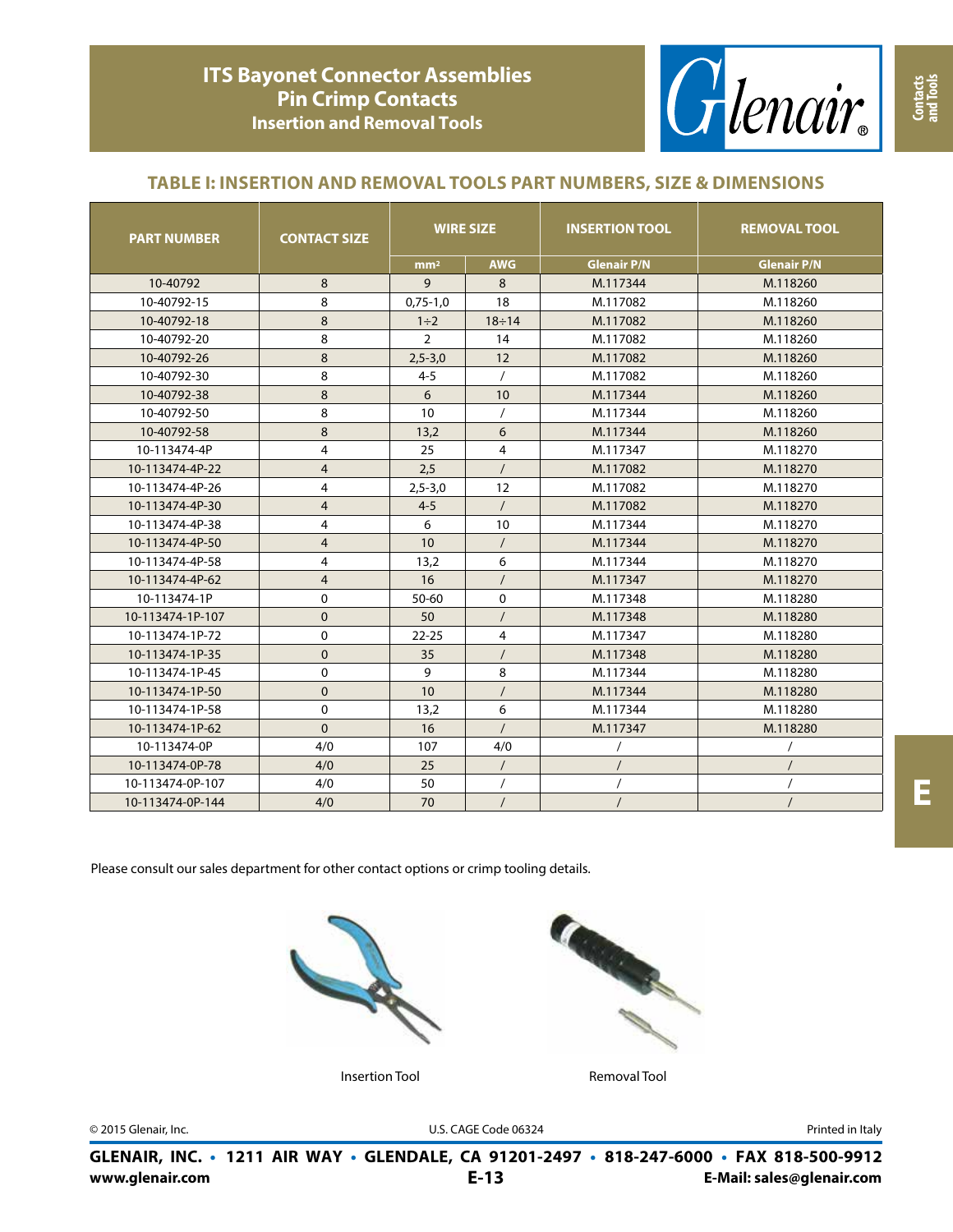

### **TABLE I: INSERTION AND REMOVAL TOOLS PART NUMBERS, SIZE & DIMENSIONS**

| <b>PART NUMBER</b> | <b>CONTACT SIZE</b> | <b>WIRE SIZE</b> |                | <b>INSERTION TOOL</b> | <b>REMOVAL TOOL</b> |  |
|--------------------|---------------------|------------------|----------------|-----------------------|---------------------|--|
|                    |                     | mm <sup>2</sup>  | <b>AWG</b>     | <b>Glenair P/N</b>    | <b>Glenair P/N</b>  |  |
| 10-40792           | 8                   | 9                | 8              | M.117344              | M.118260            |  |
| 10-40792-15        | 8                   | $0,75-1,0$       | 18             | M.117082              | M.118260            |  |
| 10-40792-18        | 8                   | $1\div 2$        | $18 \div 14$   | M.117082              | M.118260            |  |
| 10-40792-20        | 8                   | $\overline{2}$   | 14             | M.117082              | M.118260            |  |
| 10-40792-26        | 8                   | $2,5 - 3,0$      | 12             | M.117082              | M.118260            |  |
| 10-40792-30        | 8                   | $4 - 5$          | $\prime$       | M.117082              | M.118260            |  |
| 10-40792-38        | 8                   | 6                | 10             | M.117344              | M.118260            |  |
| 10-40792-50        | 8                   | 10               |                | M.117344              | M.118260            |  |
| 10-40792-58        | 8                   | 13,2             | 6              | M.117344              | M.118260            |  |
| 10-113474-4P       | 4                   | 25               | 4              | M.117347              | M.118270            |  |
| 10-113474-4P-22    | $\overline{4}$      | 2,5              | $\prime$       | M.117082              | M.118270            |  |
| 10-113474-4P-26    | 4                   | $2,5 - 3,0$      | 12             | M.117082              | M.118270            |  |
| 10-113474-4P-30    | 4                   | $4 - 5$          | $\prime$       | M.117082              | M.118270            |  |
| 10-113474-4P-38    | 4                   | 6                | 10             | M.117344              | M.118270            |  |
| 10-113474-4P-50    | $\overline{4}$      | 10               | $\prime$       | M.117344              | M.118270            |  |
| 10-113474-4P-58    | 4                   | 13,2             | 6              | M.117344              | M.118270            |  |
| 10-113474-4P-62    | 4                   | 16               | $\prime$       | M.117347              | M.118270            |  |
| 10-113474-1P       | 0                   | 50-60            | 0              | M.117348              | M.118280            |  |
| 10-113474-1P-107   | $\mathbf 0$         | 50               |                | M.117348              | M.118280            |  |
| 10-113474-1P-72    | 0                   | $22 - 25$        | $\overline{4}$ | M.117347              | M.118280            |  |
| 10-113474-1P-35    | $\pmb{0}$           | 35               | $\prime$       | M.117348              | M.118280            |  |
| 10-113474-1P-45    | 0                   | 9                | 8              | M.117344              | M.118280            |  |
| 10-113474-1P-50    | $\mathbf 0$         | 10               |                | M.117344              | M.118280            |  |
| 10-113474-1P-58    | 0                   | 13,2             | 6              | M.117344              | M.118280            |  |
| 10-113474-1P-62    | $\Omega$            | 16               | $\prime$       | M.117347              | M.118280            |  |
| 10-113474-0P       | 4/0                 | 107              | 4/0            | $\prime$              | $\prime$            |  |
| 10-113474-0P-78    | 4/0                 | 25               | $\prime$       |                       | $\prime$            |  |
| 10-113474-0P-107   | 4/0                 | 50               | $\prime$       |                       | $\prime$            |  |
| 10-113474-0P-144   | 4/0                 | 70               | $\prime$       |                       | $\prime$            |  |

**E**

Please consult our sales department for other contact options or crimp tooling details.





Insertion Tool **Removal Tool** 

© 2015 Glenair, Inc. U.S. CAGE Code 06324 Printed in Italy

**www.glenair.com E-Mail: sales@glenair.com GLENAIR, INC. • 1211 AIR WAY • GLENDALE, CA 91201-2497 • 818-247-6000 • FAX 818-500-9912 E-13**

**Contacts and Tools**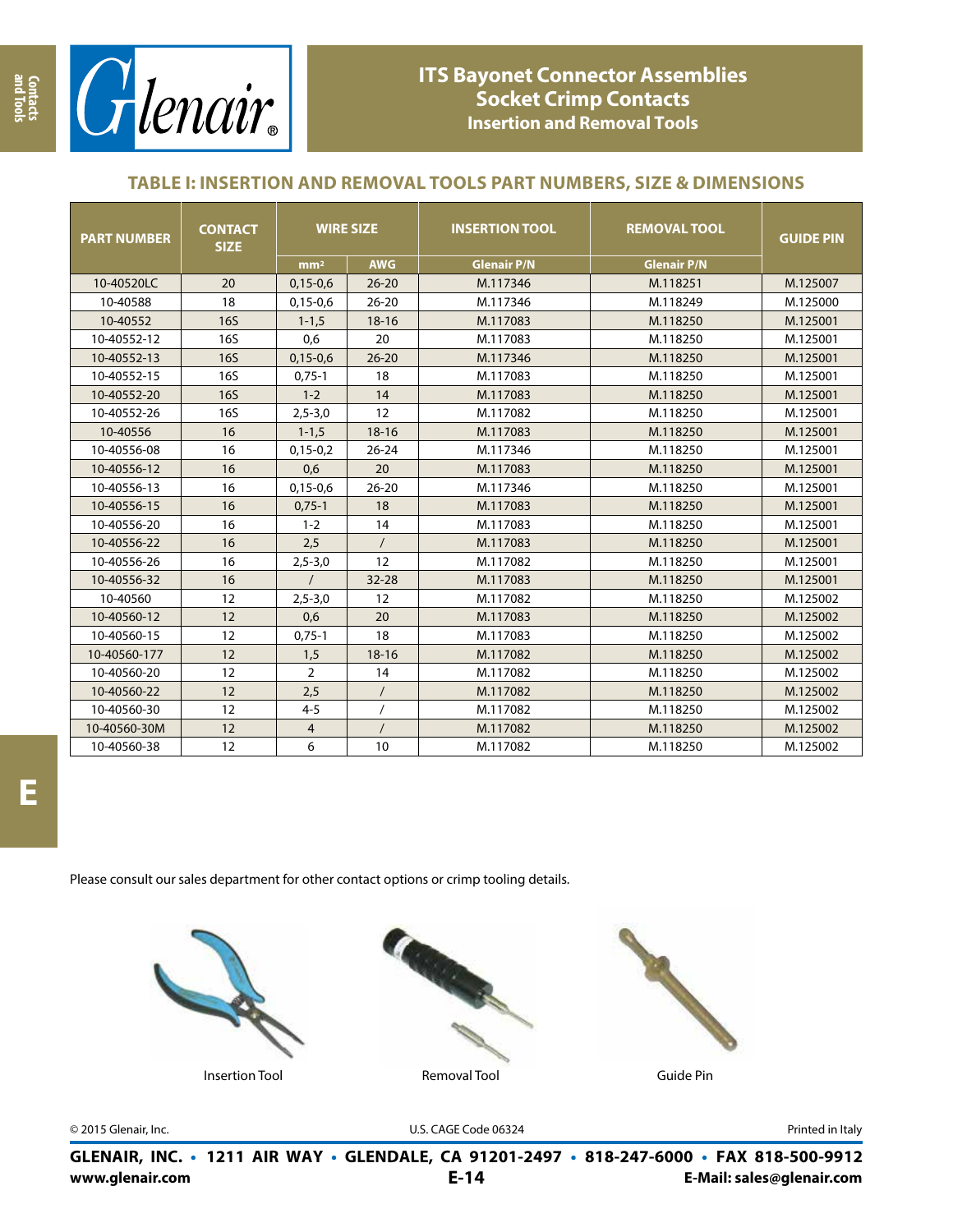

# **ITS Bayonet Connector Assemblies Socket Crimp Contacts Insertion and Removal Tools**

## **TABLE I: INSERTION AND REMOVAL TOOLS PART NUMBERS, SIZE & DIMENSIONS**

| <b>PART NUMBER</b> | <b>CONTACT</b><br><b>SIZE</b> | <b>WIRE SIZE</b> |            | <b>INSERTION TOOL</b> | <b>REMOVAL TOOL</b> | <b>GUIDE PIN</b> |
|--------------------|-------------------------------|------------------|------------|-----------------------|---------------------|------------------|
|                    |                               | mm <sup>2</sup>  | <b>AWG</b> | <b>Glenair P/N</b>    | <b>Glenair P/N</b>  |                  |
| 10-40520LC         | 20                            | $0,15-0,6$       | $26 - 20$  | M.117346              | M.118251            | M.125007         |
| 10-40588           | 18                            | $0,15-0,6$       | $26 - 20$  | M.117346              | M.118249            | M.125000         |
| 10-40552           | <b>16S</b>                    | $1 - 1, 5$       | $18 - 16$  | M.117083              | M.118250            | M.125001         |
| 10-40552-12        | <b>16S</b>                    | 0,6              | 20         | M.117083              | M.118250            | M.125001         |
| 10-40552-13        | <b>16S</b>                    | $0,15-0,6$       | $26 - 20$  | M.117346              | M.118250            | M.125001         |
| 10-40552-15        | <b>16S</b>                    | $0,75-1$         | 18         | M.117083              | M.118250            | M.125001         |
| 10-40552-20        | <b>16S</b>                    | $1 - 2$          | 14         | M.117083              | M.118250            | M.125001         |
| 10-40552-26        | <b>16S</b>                    | $2,5 - 3,0$      | 12         | M.117082              | M.118250            | M.125001         |
| 10-40556           | 16                            | $1 - 1, 5$       | $18 - 16$  | M.117083              | M.118250            | M.125001         |
| 10-40556-08        | 16                            | $0,15-0,2$       | $26 - 24$  | M.117346              | M.118250            | M.125001         |
| 10-40556-12        | 16                            | 0,6              | 20         | M.117083              | M.118250            | M.125001         |
| 10-40556-13        | 16                            | $0,15-0,6$       | $26 - 20$  | M.117346              | M.118250            | M.125001         |
| 10-40556-15        | 16                            | $0,75-1$         | 18         | M.117083              | M.118250            | M.125001         |
| 10-40556-20        | 16                            | $1 - 2$          | 14         | M.117083              | M.118250            | M.125001         |
| 10-40556-22        | 16                            | 2,5              | $\prime$   | M.117083              | M.118250            | M.125001         |
| 10-40556-26        | 16                            | $2,5 - 3,0$      | 12         | M.117082              | M.118250            | M.125001         |
| 10-40556-32        | 16                            | $\prime$         | $32 - 28$  | M.117083              | M.118250            | M.125001         |
| 10-40560           | 12                            | $2,5 - 3,0$      | 12         | M.117082              | M.118250            | M.125002         |
| 10-40560-12        | 12                            | 0,6              | 20         | M.117083              | M.118250            | M.125002         |
| 10-40560-15        | 12                            | $0,75-1$         | 18         | M.117083              | M.118250            | M.125002         |
| 10-40560-177       | 12                            | 1,5              | $18 - 16$  | M.117082              | M.118250            | M.125002         |
| 10-40560-20        | 12                            | $\overline{2}$   | 14         | M.117082              | M.118250            | M.125002         |
| 10-40560-22        | 12                            | 2,5              | $\prime$   | M.117082              | M.118250            | M.125002         |
| 10-40560-30        | 12                            | $4 - 5$          |            | M.117082              | M.118250            | M.125002         |
| 10-40560-30M       | 12                            | $\overline{4}$   | $\prime$   | M.117082              | M.118250            | M.125002         |
| 10-40560-38        | 12                            | 6                | 10         | M.117082              | M.118250            | M.125002         |

Please consult our sales department for other contact options or crimp tooling details.







© 2015 Glenair, Inc. U.S. CAGE Code 06324 Printed in Italy

**www.glenair.com E-Mail: sales@glenair.com GLENAIR, INC. • 1211 AIR WAY • GLENDALE, CA 91201-2497 • 818-247-6000 • FAX 818-500-9912 E-14**